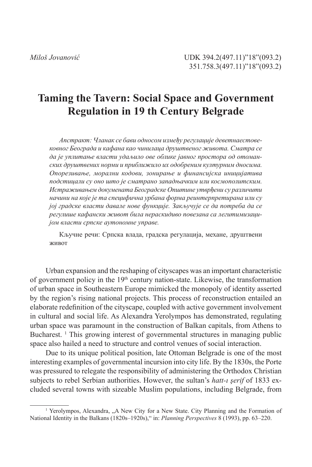# **Taming the Tavern: Social Space and Government Regulation in 19 th Century Belgrade**

*Апстракт: Чланак се бави односом између регулације деветнаестовековног Београда и кафана као чинилаца друштвеног живота. Сматра се да је уплитање власти удаљило ове облике јавног простора од отоманских друштвених норми и приближило их одобреним културним дносима. Опорезивање, морални кодови, зонирање и финансијскa иницијатива подстицали су оно што је сматрано западњачким или космополитским. Истраживањем докумената Београдске Општине утврђени су различити начини на које је та специфична урбана форма реинтерпретирана или су јој градске власти давале нове функције. Закључује се да потреба да се регулише кафански живот била нераскидиво повезана са легитимизацијом власти српске аутономне управе.*

Кључне речи: Српска влада, градска регулација, механе, друштвени живот

Urban expansion and the reshaping of cityscapes was an important characteristic of government policy in the 19th century nation-state. Likewise, the transformation of urban space in Southeastern Europe mimicked the monopoly of identity asserted by the region's rising national projects. This process of reconstruction entailed an elaborate redefinition of the cityscape, coupled with active government involvement in cultural and social life. As Alexandra Yerolympos has demonstrated, regulating urban space was paramount in the construction of Balkan capitals, from Athens to Bucharest.  $\frac{1}{1}$  This growing interest of governmental structures in managing public space also hailed a need to structure and control venues of social interaction.

Due to its unique political position, late Ottoman Belgrade is one of the most interesting examples of governmental incursion into city life. By the 1830s, the Porte was pressured to relegate the responsibility of administering the Orthodox Christian subjects to rebel Serbian authorities. However, the sultan's *hatt-ı şerif* of 1833 ex cluded several towns with sizeable Muslim populations, including Belgrade, from

<sup>&</sup>lt;sup>1</sup> Yerolympos, Alexandra, "A New City for a New State. City Planning and the Formation of National Identity in the Balkans (1820s–1920s)," in: *Planning Perspectives* 8 (1993), pp. 63–220.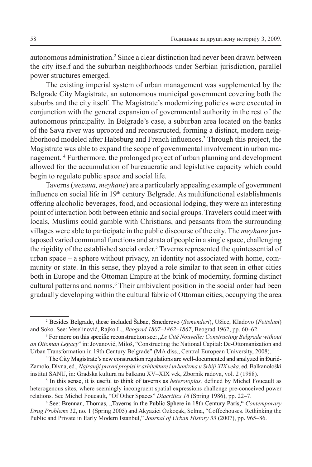autonomous administration.<sup>2</sup> Since a clear distinction had never been drawn between the city itself and the suburban neighborhoods under Serbian jurisdiction, parallel power structures emerged.

The existing imperial system of urban management was supplemented by the Belgrade City Magistrate, an autonomous municipal government covering both the suburbs and the city itself. The Magistrate's modernizing policies were executed in conjunction with the general expansion of governmental authority in the rest of the autonomous principality. In Belgrade's case, a suburban area located on the banks of the Sava river was uprooted and reconstructed, forming a distinct, modern neig hborhood modeled after Habsburg and French influences.<sup>3</sup> Through this project, the Magistrate was able to expand the scope of governmental involvement in urban ma nagement. <sup>4</sup> Furthermore, the prolonged project of urban planning and development allowed for the accumulation of bureaucratic and legislative capacity which could begin to regulate public space and social life.

Taverns (*механа, meyhane*) are a particularly appealing example of government influence on social life in 19<sup>th</sup> century Belgrade. As multifunctional establishments offering alcoholic beverages, food, and occasional lodging, they were an interesting point of interaction both between ethnic and social groups. Travelers could meet with locals, Muslims could gamble with Christians, and peasants from the surrounding villages were able to participate in the public discourse of the city. The *meyhane* juxtaposed varied communal functions and strata of people in a single space, challenging the rigidity of the established social order. Taverns represented the quintessential of urban space – a sphere without privacy, an identity not associated with home, community or state. In this sense, they played a role similar to that seen in other cities both in Europe and the Ottoman Empire at the brink of modernity, forming distinct cultural patterns and norms.<sup>6</sup> Their ambivalent position in the social order had been gradually developing within the cultural fabric of Ottoman cities, occupying the area

<sup>&</sup>lt;sup>2</sup> Besides Belgrade, these included Šabac, Smederevo (*Semenderi*), Užice, Kladovo (*Fetislam*) and Soko. See: Veselinović, Rajko L., *Beograd 1807–1862–1867*, Beograd 1962, pp. 60–62.

 ${}^{3}$  For more on this specific reconstruction see:  $Le$  *Cité Nouvelle: Constructing Belgrade without an Ottoman Legacy*" in: Jovanović, Miloš, "Constructing the National Capital: De-Ottomanization and Urban Transformation in 19th Century Belgrade" (MA diss., Central European University, 2008).

 $\rm ^4$ The City Magistrate's new construction regulations are well-documented and analyzed in Đurić-Zamolo, Divna, ed., *Najraniji pravni propisi iz arhitekture i urbanizma u Srbiji XIX veka*, ed. Balkanološki institut SANU, in: Gradska kultura na balkanu XV–XIX vek, Zbornik radova, vol. 2 (1988).

 $\frac{1}{2}$  In this sense, it is useful to think of taverns as *heterotopias*, defined by Michel Foucault as heterogenous sites, where seemingly incongruent spatial expressions challenge pre-conceived power relations. See Michel Foucault, "Of Other Spaces" *Diacritics 16* (Spring 1986), pp. 22–7.

 $^6$  See: Brennan, Thomas, "Taverns in the Public Sphere in 18th Century Paris," *Contemporary Drug Problems* 32, no. 1 (Spring 2005) and Akyazici Özkoçak, Selma, "Coffeehouses. Rethinking the Public and Private in Early Modern Istanbul," *Journal of Urban History 33* (2007), pp. 965–86.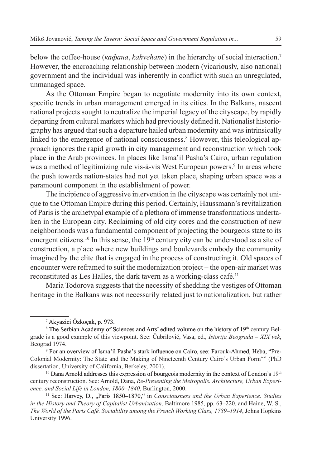below the coffee-house (*кафана*, *kahvehane*) in the hierarchy of social interaction. However, the encroaching relationship between modern (vicariously, also national) government and the individual was inherently in conflict with such an unregulated, unmanaged space.

As the Ottoman Empire began to negotiate modernity into its own context, specific trends in urban management emerged in its cities. In the Balkans, nascent national projects sought to neutralize the imperial legacy of the cityscape, by rapidly departing from cultural markers which had previously defined it. Nationalist historiography has argued that such a departure hailed urban modernity and was intrinsically linked to the emergence of national consciousness.<sup>8</sup> However, this teleological approach ignores the rapid growth in city management and reconstruction which took place in the Arab provinces. In places like Isma'il Pasha's Cairo, urban regulation was a method of legitimizing rule vis-à-vis West European powers.<sup>9</sup> In areas where the push towards nation-states had not yet taken place, shaping urban space was a paramount component in the establishment of power.

The incipience of aggressive intervention in the cityscape was certainly not unique to the Ottoman Empire during this period. Certainly, Haussmann's revitalization of Paris is the archetypal example of a plethora of immense transformations underta ken in the European city. Reclaiming of old city cores and the construction of new neighborhoods was a fundamental component of projecting the bourgeois state to its emergent citizens.<sup>10</sup> In this sense, the 19<sup>th</sup> century city can be understood as a site of construction, a place where new buildings and boulevards embody the community imagined by the elite that is engaged in the process of constructing it. Old spaces of encounter were reframed to suit the modernization project – the open-air market was reconstituted as Les Halles, the dark tavern as a working-class café.11

Maria Todorova suggests that the necessity of shedding the vestiges of Ottoman heritage in the Balkans was not necessarily related just to nationalization, but rather

<sup>10</sup> Dana Arnold addresses this expression of bourgeois modernity in the context of London's 19<sup>th</sup> century reconstruction. See: Arnold, Dana, *Re-Presenting the Metropolis. Architecture, Urban Experience, and Social Life in London, 1800–1840*, Burlington, 2000.

<sup>&</sup>lt;sup>7</sup> Akyazici Özkoçak, p. 973.

<sup>&</sup>lt;sup>8</sup> The Serbian Academy of Sciences and Arts' edited volume on the history of 19<sup>th</sup> century Belgrade is a good example of this viewpoint. See: Čubrilović, Vasa, ed., *Istorija Beograda – XIX vek*, Beograd 1974.

 $9$  For an overview of Isma'il Pasha's stark influence on Cairo, see: Farouk-Ahmed, Heba, "Pre-Colonial Modernity: The State and the Making of Nineteenth Century Cairo's Urban Form"" (PhD dissertation, University of California, Berkeley, 2001).

<sup>&</sup>lt;sup>11</sup> See: Harvey, D., "Paris 1850–1870," in *Consciousness and the Urban Experience. Studies in the History and Theory of Capitalist Urbanization*, Baltimore 1985, pp. 63–220. and Haine, W. S., *The World of the Paris Café. Sociability among the French Working Class, 1789–1914*, Johns Hopkins University 1996.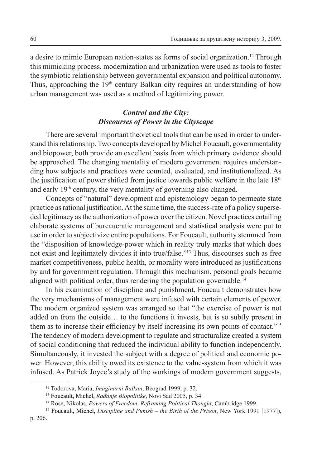a desire to mimic European nation-states as forms of social organization. <sup>12</sup> Through this mimicking process, modernization and urbanization were used as tools to foster the symbiotic relationship between governmental expansion and political autonomy. Thus, approaching the  $19<sup>th</sup>$  century Balkan city requires an understanding of how urban management was used as a method of legitimizing power.

## *Control and the City: Discourses of Power in the Cityscape*

There are several important theoretical tools that can be used in order to under stand this relationship. Two concepts developed by Michel Foucault, governmentality and biopower, both provide an excellent basis from which primary evidence should be approached. The changing mentality of modern government requires understanding how subjects and practices were counted, evaluated, and institutionalized. As the justification of power shifted from justice towards public welfare in the late  $18<sup>th</sup>$ and early 19th century, the very mentality of governing also changed.

Concepts of "natural" development and epistemology began to permeate state practice as rational justification. At the same time, the success-rate of a policy superseded legitimacy as the authorization of power over the citizen. Novel practices entailing elaborate systems of bureaucratic management and statistical analysis were put to use in order to subjectivize entire populations. For Foucault, authority stemmed from the "disposition of knowledge-power which in reality truly marks that which does not exist and legitimately divides it into true/false."13 Thus, discourses such as free market competitiveness, public health, or morality were introduced as justifications by and for government regulation. Through this mechanism, personal goals became aligned with political order, thus rendering the population governable.<sup>14</sup>

In his examination of discipline and punishment, Foucault demonstrates how the very mechanisms of management were infused with certain elements of power. The modern organized system was arranged so that "the exercise of power is not added on from the outside… to the functions it invests, but is so subtly present in them as to increase their efficiency by itself increasing its own points of contact."15 The tendency of modern development to regulate and structuralize created a system of social conditioning that reduced the individual ability to function independently. Simultaneously, it invested the subject with a degree of political and economic power. However, this ability owed its existence to the value-system from which it was infused. As Patrick Joyce's study of the workings of modern government suggests,

<sup>12</sup> Todorova, Maria, *Imaginarni Balkan*, Beograd 1999, p. 32.

<sup>&</sup>lt;sup>13</sup> Foucault, Michel, *Rađanje Biopolitike*, Novi Sad 2005, p. 34.

<sup>14</sup> Rose, Nikolas, *Powers of Freedom. Reframing Political Thought*, Cambridge 1999.

<sup>&</sup>lt;sup>15</sup> Foucault, Michel, *Discipline and Punish – the Birth of the Prison*, New York 1991 [1977]),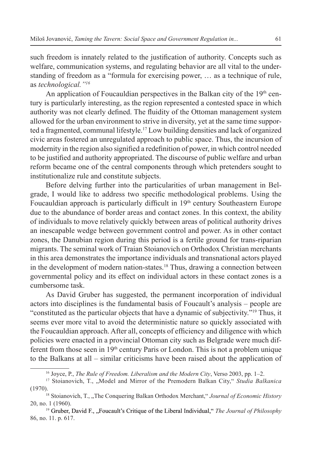such freedom is innately related to the justification of authority. Concepts such as welfare, communication systems, and regulating behavior are all vital to the under standing of freedom as a "formula for exercising power, … as a technique of rule, as *technological."16*

An application of Foucauldian perspectives in the Balkan city of the  $19<sup>th</sup>$  century is particularly interesting, as the region represented a contested space in which authority was not clearly defined. The fluidity of the Ottoman management system allowed for the urban environment to strive in diversity, yet at the same time supported a fragmented, communal lifestyle.<sup>17</sup> Low building densities and lack of organ civic areas fostered an unregulated approach to public space. Thus, the incursion of modernity in the region also signified a redefinition of power, in which control needed to be justified and authority appropriated. The discourse of public welfare and urban reform became one of the central components through which pretenders sought to institutionalize rule and constitute subjects.

Before delving further into the particularities of urban management in Belgrade, I would like to address two specific methodological problems. Using the Foucauldian approach is particularly difficult in 19<sup>th</sup> century Southeastern Europe due to the abundance of border areas and contact zones. In this context, the ability of individuals to move relatively quickly between areas of political authority drives an inescapable wedge between government control and power. As in other contact zones, the Danubian region during this period is a fertile ground for trans-riparian migrants. The seminal work of Traian Stoianovich on Orthodox Christian merchants in this area demonstrates the importance individuals and transnational actors played in the development of modern nation-states.<sup>18</sup> Thus, drawing a connection between governmental policy and its effect on individual actors in these contact zones is a cumbersome task.

As David Gruber has suggested, the permanent incorporation of individual actors into disciplines is the fundamental basis of Foucault's analysis – people are "constituted as the particular objects that have a dynamic of subjectivity."19 Thus, it seems ever more vital to avoid the deterministic nature so quickly associated with the Foucauldian approach. After all, concepts of efficiency and diligence with which policies were enacted in a provincial Ottoman city such as Belgrade were much different from those seen in 19th century Paris or London. This is not a problem unique to the Balkans at all – similar criticisms have been raised about the application of

<sup>16</sup> Joyce, P., *The Rule of Freedom. Liberalism and the Modern City*, Verso 2003, pp. 1–2.

<sup>&</sup>lt;sup>17</sup> Stoianovich, T., "Model and Mirror of the Premodern Balkan City," *Studia Balkanica* (1970).<br><sup>18</sup> Stoianovich, T., "The Conquering Balkan Orthodox Merchant," *Journal of Economic History* 

<sup>20,</sup> no. 1 (1960).

<sup>&</sup>lt;sup>19</sup> Gruber, David F., "Foucault's Critique of the Liberal Individual," *The Journal of Philosophy* 86, no. 11. p. 617.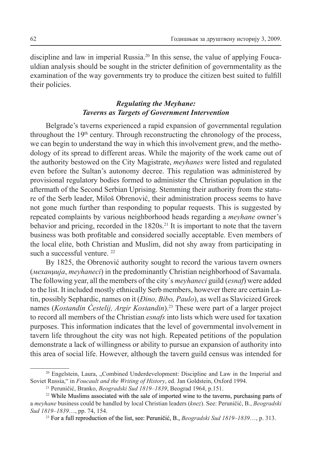discipline and law in imperial Russia.20 In this sense, the value of applying Foucauldian analysis should be sought in the stricter definition of governmentality as the examination of the way governments try to produce the citizen best suited to fulfill their policies.

## *Regulating the Meyhane: Taverns as Targets of Government Intervention*

Belgrade's taverns experienced a rapid expansion of governmental regulation throughout the 19<sup>th</sup> century. Through reconstructing the chronology of the process, we can begin to understand the way in which this involvement grew, and the methodology of its spread to different areas. While the majority of the work came out of the authority bestowed on the City Magistrate, *meyhanes* were listed and regulated even before the Sultan's autonomy decree. This regulation was administered by provisional regulatory bodies formed to administer the Christian population in the aftermath of the Second Serbian Uprising. Stemming their authority from the statu re of the Serb leader, Miloš Obrenović, their administration process seems to have not gone much further than responding to popular requests. This is suggested by repeated complaints by various neighborhood heads regarding a *meyhane* owner's behavior and pricing, recorded in the 1820s.<sup>21</sup> It is important to note that the tavern business was both profitable and considered socially acceptable. Even members of the local elite, both Christian and Muslim, did not shy away from participating in such a successful venture.<sup>22</sup>

By 1825, the Obrenović authority sought to record the various tavern owners (*механџија*, *meyhaneci*) in the predominantly Christian neighborhood of Savamala. The following year, all the members of the city´s *meyhaneci* guild (*esnaf*) were added to the list. It included mostly ethnically Serb members, however there are certain Latin, possibly Sephardic, names on it (*Đino, Bibo, Paulo*), as well as Slavicized Greek names (*Kostandin Ćestelij, Argir Kostandin*).23 These were part of a larger project to record all members of the Christian *esnafs* into lists which were used for taxation purposes. This information indicates that the level of governmental involvement in tavern life throughout the city was not high. Repeated petitions of the population demonstrate a lack of willingness or ability to pursue an expansion of authority into this area of social life. However, although the tavern guild census was intended for

<sup>&</sup>lt;sup>20</sup> Engelstein, Laura, "Combined Underdevelopment: Discipline and Law in the Imperial and Soviet Russia," in *Foucault and the Writing of History*, ed. Jan Goldstein, Oxford 1994.

<sup>21</sup> Peruničić, Branko, *Beogradski Sud 1819–1839*, Beograd 1964, p.151.

<sup>&</sup>lt;sup>22</sup> While Muslims associated with the sale of imported wine to the taverns, purchasing parts of a *meyhane* business could be handled by local Christian leaders (*knez*). See: Peruničić, B., *Beogradski Sud 1819–1839*…, pp. 74, 154.

<sup>&</sup>lt;sup>23</sup> For a full reproduction of the list, see: Peruničić, B., *Beogradski Sud 1819–1839*…, p. 313.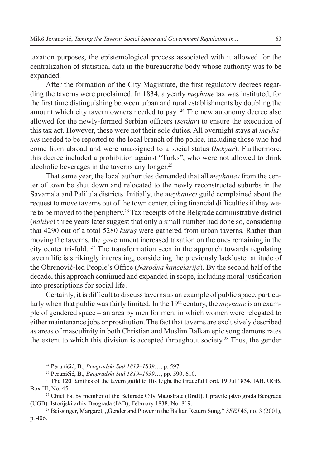taxation purposes, the epistemological process associated with it allowed for the centralization of statistical data in the bureaucratic body whose authority was to be expanded.

After the formation of the City Magistrate, the first regulatory decrees regarding the taverns were proclaimed. In 1834, a yearly *meyhane* tax was instituted, for the first time distinguishing between urban and rural establishments by doubling the amount which city tavern owners needed to pay. 24 The new autonomy decree also allowed for the newly-formed Serbian officers (*serdar*) to ensure the execution of this tax act. However, these were not their sole duties. All overnight stays at *meyhanes* needed to be reported to the local branch of the police, including those who had come from abroad and were unassigned to a social status (*bekyar*). Furthermore, this decree included a prohibition against "Turks", who were not allowed to drink alcoholic beverages in the taverns any longer. 25

That same year, the local authorities demanded that all *meyhanes* from the center of town be shut down and relocated to the newly reconstructed suburbs in the Savamala and Palilula districts. Initially, the *meyhaneci* guild complained about the request to move taverns out of the town center, citing financial difficulties if they we re to be moved to the periphery.26 Tax receipts of the Belgrade administrative district (*nahiye*) three years later suggest that only a small number had done so, considering that 4290 out of a total 5280 *kuruş* were gathered from urban taverns. Rather than moving the taverns, the government increased taxation on the ones remaining in the city center tri-fold. 27 The transformation seen in the approach towards regulating tavern life is strikingly interesting, considering the previously lackluster attitude of the Obrenović-led People's Office (*Narodna kancelarija*). By the second half of the decade, this approach continued and expanded in scope, including moral justification into prescriptions for social life.

Certainly, it is difficult to discuss taverns as an example of public space, particularly when that public was fairly limited. In the 19<sup>th</sup> century, the *meyhane* is an example of gendered space – an area by men for men, in which women were relegated to either maintenance jobs or prostitution. The fact that taverns are exclusively described as areas of masculinity in both Christian and Muslim Balkan epic song demonstrates the extent to which this division is accepted throughout society.28 Thus, the gender

<sup>&</sup>lt;sup>24</sup> Peruničić, B., *Beogradski Sud 1819–1839*…, p. 597.

<sup>&</sup>lt;sup>25</sup> Peruničić, B., *Beogradski Sud 1819–1839*…, pp. 590, 610.

 $26$  The 120 families of the tavern guild to His Light the Graceful Lord. 19 Jul 1834. IAB. UGB. Box III, No. 45

<sup>&</sup>lt;sup>27</sup> Chief list by member of the Belgrade City Magistrate (Draft). Upraviteljstvo grada Beograda (UGB). Istorijski arhiv Beograda (IAB), February 1838, No. 819.

<sup>&</sup>lt;sup>28</sup> Beissinger, Margaret, "Gender and Power in the Balkan Return Song," *SEEJ* 45, no. 3 (2001), p. 406.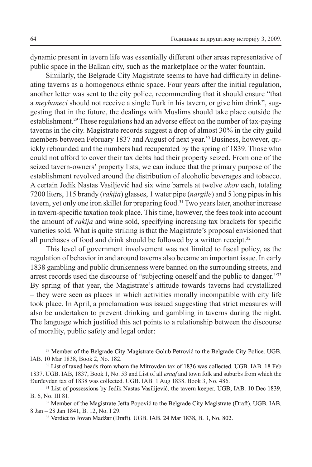dynamic present in tavern life was essentially different other areas representative of public space in the Balkan city, such as the marketplace or the water fountain.

Similarly, the Belgrade City Magistrate seems to have had difficulty in delineating taverns as a homogenous ethnic space. Four years after the initial regulation, another letter was sent to the city police, recommending that it should ensure "that a *meyhaneci* should not receive a single Turk in his tavern, or give him drink", suggesting that in the future, the dealings with Muslims should take place outside the establishment.29 These regulations had an adverse effect on the number of tax-paying taverns in the city. Magistrate records suggest a drop of almost 30% in the city guild members between February 1837 and August of next year. 30 Business, however, quickly rebounded and the numbers had recuperated by the spring of 1839. Those who could not afford to cover their tax debts had their property seized. From one of the seized tavern-owners' property lists, we can induce that the primary purpose of the establishment revolved around the distribution of alcoholic beverages and tobacco. A certain Jedik Nastas Vasiljević had six wine barrels at twelve *akov* each, totaling 7200 liters, 115 brandy (*rakija*) glasses, 1 water pipe (*nargile*) and 5 long pipes in his tavern, yet only one iron skillet for preparing food.<sup>31</sup> Two years later, another inc in tavern-specific taxation took place. This time, however, the fees took into account the amount of *rakija* and wine sold, specifying increasing tax brackets for specific varieties sold. What is quite striking is that the Magistrate's proposal envisioned that all purchases of food and drink should be followed by a written receipt.<sup>32</sup>

This level of government involvement was not limited to fiscal policy, as the regulation of behavior in and around taverns also became an important issue. In early 1838 gambling and public drunkenness were banned on the surrounding streets, and arrest records used the discourse of "subjecting oneself and the public to danger."33 By spring of that year, the Magistrate's attitude towards taverns had crystallized – they were seen as places in which activities morally incompatible with city life took place. In April, a proclamation was issued suggesting that strict measures will also be undertaken to prevent drinking and gambling in taverns during the night. The language which justified this act points to a relationship between the discourse of morality, public safety and legal order:

<sup>&</sup>lt;sup>29</sup> Member of the Belgrade City Magistrate Golub Petrović to the Belgrade City Police. UGB. IAB. 10 Mar 1838, Book 2, No. 182.

<sup>&</sup>lt;sup>30</sup> List of taxed heads from whom the Mitrovdan tax of 1836 was collected. UGB. IAB. 18 Feb 1837. UGB. IAB, 1837, Book 1, No. 53 and List of all *esnaf* and town folk and suburbs from which the Đurđevdan tax of 1838 was collected. UGB. IAB. 1 Aug 1838. Book 3, No. 486.

<sup>&</sup>lt;sup>31</sup> List of possessions by Jedik Nastas Vasilijević, the tavern keeper. UGB, IAB. 10 Dec 1839, B. 6, No. III 81.

<sup>&</sup>lt;sup>32</sup> Member of the Magistrate Jefta Popović to the Belgrade City Magistrate (Draft). UGB. IAB. 8 Jan – 28 Jan 1841, B. 12, No. I 29.

<sup>&</sup>lt;sup>33</sup> Verdict to Jovan Madžar (Draft). UGB. IAB. 24 Mar 1838, B. 3, No. 802.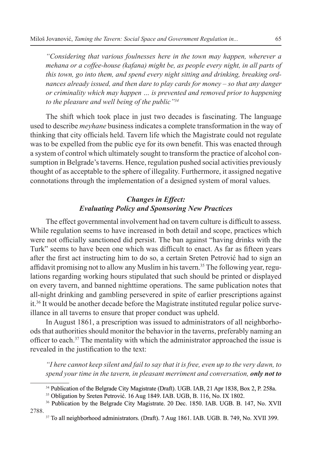*"Considering that various foulnesses here in the town may happen, wherever a mehana or a coffee-house (kafana) might be, as people every night, in all parts of this town, go into them, and spend every night sitting and drinking, breaking ordnances already issued, and then dare to play cards for money – so that any danger or criminality which may happen … is prevented and removed prior to happening to the pleasure and well being of the public"34*

The shift which took place in just two decades is fascinating. The language used to describe *meyhane* business indicates a complete transformation in the way of thinking that city officials held. Tavern life which the Magistrate could not regulate was to be expelled from the public eye for its own benefit. This was enacted through a system of control which ultimately sought to transform the practice of alcohol con sumption in Belgrade's taverns. Hence, regulation pushed social activities previously thought of as acceptable to the sphere of illegality. Furthermore, it assigned negative connotations through the implementation of a designed system of moral values.

# *Changes in Effect: Evaluating Policy and Sponsoring New Practices*

The effect governmental involvement had on tavern culture is difficult to assess. While regulation seems to have increased in both detail and scope, practices which were not officially sanctioned did persist. The ban against "having drinks with the Turk" seems to have been one which was difficult to enact. As far as fifteen years after the first act instructing him to do so, a certain Sreten Petrović had to sign an affidavit promising not to allow any Muslim in his tavern. <sup>35</sup> The following year, regulations regarding working hours stipulated that such should be printed or displayed on every tavern, and banned nighttime operations. The same publication notes that all-night drinking and gambling persevered in spite of earlier prescriptions against it.<sup>36</sup> It would be another decade before the Magistrate instituted regular police surveillance in all taverns to ensure that proper conduct was upheld.

In August 1861, a prescription was issued to administrators of all neighborho ods that authorities should monitor the behavior in the taverns, preferably naming an officer to each. <sup>37</sup> The mentality with which the administrator approached the issue is revealed in the justification to the text:

*"I here cannot keep silent and fail to say that it is free, even up to the very dawn, to spend your time in the tavern, in pleasant merriment and conversation, only not to* 

<sup>&</sup>lt;sup>34</sup> Publication of the Belgrade City Magistrate (Draft). UGB. IAB, 21 Apr 1838, Box 2, P. 258a.

<sup>&</sup>lt;sup>35</sup> Obligation by Sreten Petrović. 16 Aug 1849. IAB. UGB, B. 116, No. IX 1802.

<sup>&</sup>lt;sup>36</sup> Publication by the Belgrade City Magistrate. 20 Dec. 1850. IAB. UGB. B. 147, No. XVII 2788.

<sup>&</sup>lt;sup>37</sup> To all neighborhood administrators. (Draft). 7 Aug 1861. IAB. UGB. B. 749, No. XVII 399.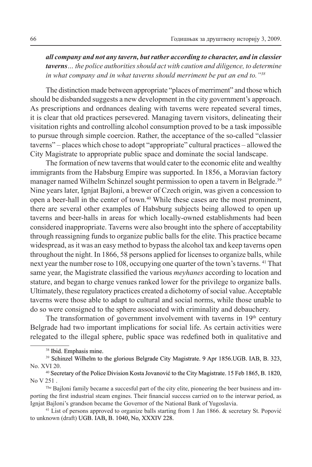*all company and not any tavern, but rather according to character, and in classier taverns… the police authorities should act with caution and diligence, to determine in what company and in what taverns should merriment be put an end to."38*

The distinction made between appropriate "places of merriment" and those which should be disbanded suggests a new development in the city government's approach. As prescriptions and ordnances dealing with taverns were repeated several times, it is clear that old practices persevered. Managing tavern visitors, delineating their visitation rights and controlling alcohol consumption proved to be a task impossible to pursue through simple coercion. Rather, the acceptance of the so-called "classier taverns" – places which chose to adopt "appropriate" cultural practices – allowed the City Magistrate to appropriate public space and dominate the social landscape.

The formation of new taverns that would cater to the economic elite and wealthy immigrants from the Habsburg Empire was supported. In 1856, a Moravian factory manager named Wilhelm Schinzel sought permission to open a tavern in Belgrade. 39 Nine years later, Ignjat Bajloni, a brewer of Czech origin, was given a concession to open a beer-hall in the center of town. 40 While these cases are the most prominent, there are several other examples of Habsburg subjects being allowed to open up taverns and beer-halls in areas for which locally-owned establishments had been considered inappropriate. Taverns were also brought into the sphere of acceptability through reassigning funds to organize public balls for the elite. This practice became widespread, as it was an easy method to bypass the alcohol tax and keep taverns open throughout the night. In 1866, 58 persons applied for licenses to organize balls, while next year the number rose to 108, occupying one quarter of the town's taverns. 41 That same year, the Magistrate classified the various *meyhanes* according to location and stature, and began to charge venues ranked lower for the privilege to organize balls. Ultimately, these regulatory practices created a dichotomy of social value. Acceptable taverns were those able to adapt to cultural and social norms, while those unable to do so were consigned to the sphere associated with criminality and debauchery.

The transformation of government involvement with taverns in  $19<sup>th</sup>$  century Belgrade had two important implications for social life. As certain activities were relegated to the illegal sphere, public space was redefined both in qualitative and

<sup>&</sup>lt;sup>38</sup> Ibid. Emphasis mine.

<sup>&</sup>lt;sup>39</sup> Schinzel Wilhelm to the glorious Belgrade City Magistrate. 9 Apr 1856.UGB. IAB, B. 323, No. XVI 20.

<sup>&</sup>lt;sup>40</sup> Secretary of the Police Division Kosta Jovanović to the City Magistrate. 15 Feb 1865, B. 1820, No V 251 .

The Bajloni family became a succesful part of the city elite, pioneering the beer business and importing the first industrial steam engines. Their financial success carried on to the interwar period, as Ignjat Bajloni's grandson became the Governor of the National Bank of Yugoslavia.

<sup>41</sup> List of persons approved to organize balls starting from 1 Jan 1866. & secretary St. Popović to unknown (draft) UGB. IAB, B. 1040, No, XXXIV 228.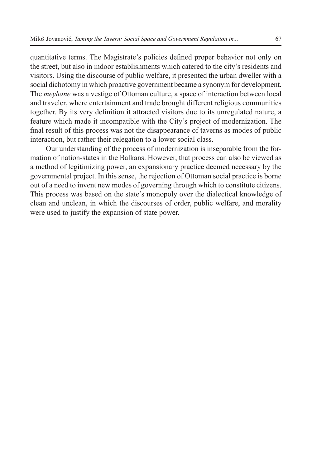quantitative terms. The Magistrate's policies defined proper behavior not only on the street, but also in indoor establishments which catered to the city's residents and visitors. Using the discourse of public welfare, it presented the urban dweller with a social dichotomy in which proactive government became a synonym for development. The *meyhane* was a vestige of Ottoman culture, a space of interaction between local and traveler, where entertainment and trade brought different religious communities together. By its very definition it attracted visitors due to its unregulated nature, a feature which made it incompatible with the City's project of modernization. The final result of this process was not the disappearance of taverns as modes of public interaction, but rather their relegation to a lower social class.

Our understanding of the process of modernization is inseparable from the formation of nation-states in the Balkans. However, that process can also be viewed as a method of legitimizing power, an expansionary practice deemed necessary by the governmental project. In this sense, the rejection of Ottoman social practice is borne out of a need to invent new modes of governing through which to constitute citizens. This process was based on the state's monopoly over the dialectical knowledge of clean and unclean, in which the discourses of order, public welfare, and morality were used to justify the expansion of state power.